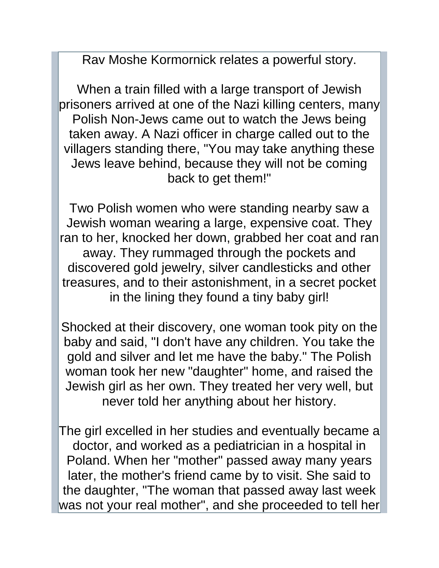Rav Moshe Kormornick relates a powerful story.

When a train filled with a large transport of Jewish prisoners arrived at one of the Nazi killing centers, many Polish Non-Jews came out to watch the Jews being taken away. A Nazi officer in charge called out to the villagers standing there, "You may take anything these Jews leave behind, because they will not be coming back to get them!"

Two Polish women who were standing nearby saw a Jewish woman wearing a large, expensive coat. They ran to her, knocked her down, grabbed her coat and ran away. They rummaged through the pockets and discovered gold jewelry, silver candlesticks and other treasures, and to their astonishment, in a secret pocket in the lining they found a tiny baby girl!

Shocked at their discovery, one woman took pity on the baby and said, "I don't have any children. You take the gold and silver and let me have the baby." The Polish woman took her new "daughter" home, and raised the Jewish girl as her own. They treated her very well, but never told her anything about her history.

The girl excelled in her studies and eventually became a doctor, and worked as a pediatrician in a hospital in Poland. When her "mother" passed away many years later, the mother's friend came by to visit. She said to the daughter, "The woman that passed away last week was not your real mother", and she proceeded to tell her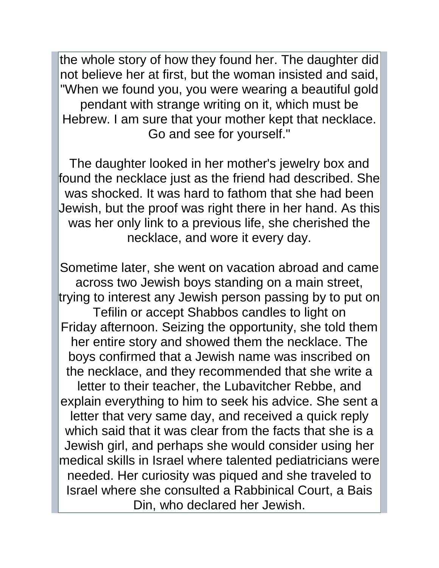the whole story of how they found her. The daughter did not believe her at first, but the woman insisted and said, "When we found you, you were wearing a beautiful gold pendant with strange writing on it, which must be Hebrew. I am sure that your mother kept that necklace. Go and see for yourself."

The daughter looked in her mother's jewelry box and found the necklace just as the friend had described. She was shocked. It was hard to fathom that she had been Jewish, but the proof was right there in her hand. As this was her only link to a previous life, she cherished the necklace, and wore it every day.

Sometime later, she went on vacation abroad and came across two Jewish boys standing on a main street, trying to interest any Jewish person passing by to put on Tefilin or accept Shabbos candles to light on Friday afternoon. Seizing the opportunity, she told them her entire story and showed them the necklace. The boys confirmed that a Jewish name was inscribed on the necklace, and they recommended that she write a letter to their teacher, the Lubavitcher Rebbe, and explain everything to him to seek his advice. She sent a letter that very same day, and received a quick reply which said that it was clear from the facts that she is a Jewish girl, and perhaps she would consider using her medical skills in Israel where talented pediatricians were needed. Her curiosity was piqued and she traveled to Israel where she consulted a Rabbinical Court, a Bais Din, who declared her Jewish.